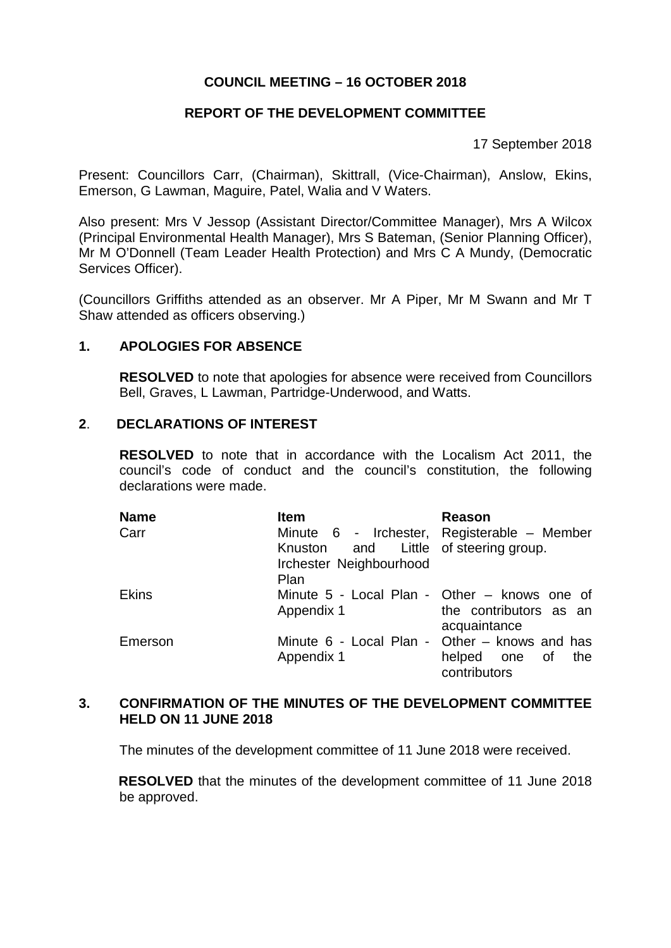### **COUNCIL MEETING – 16 OCTOBER 2018**

# **REPORT OF THE DEVELOPMENT COMMITTEE**

17 September 2018

Present: Councillors Carr, (Chairman), Skittrall, (Vice-Chairman), Anslow, Ekins, Emerson, G Lawman, Maguire, Patel, Walia and V Waters.

Also present: Mrs V Jessop (Assistant Director/Committee Manager), Mrs A Wilcox (Principal Environmental Health Manager), Mrs S Bateman, (Senior Planning Officer), Mr M O'Donnell (Team Leader Health Protection) and Mrs C A Mundy, (Democratic Services Officer).

(Councillors Griffiths attended as an observer. Mr A Piper, Mr M Swann and Mr T Shaw attended as officers observing.)

### **1. APOLOGIES FOR ABSENCE**

**RESOLVED** to note that apologies for absence were received from Councillors Bell, Graves, L Lawman, Partridge-Underwood, and Watts.

#### **2**. **DECLARATIONS OF INTEREST**

**RESOLVED** to note that in accordance with the Localism Act 2011, the council's code of conduct and the council's constitution, the following declarations were made.

| <b>Name</b>  | <b>Item</b>                           | Reason                                        |
|--------------|---------------------------------------|-----------------------------------------------|
| Carr         |                                       | Minute 6 - Irchester, Registerable – Member   |
|              | Knuston and Little of steering group. |                                               |
|              | Irchester Neighbourhood               |                                               |
|              | Plan                                  |                                               |
| <b>Ekins</b> |                                       | Minute 5 - Local Plan - Other – knows one of  |
|              | Appendix 1                            | the contributors as an                        |
|              |                                       | acquaintance                                  |
| Emerson      |                                       | Minute 6 - Local Plan - Other – knows and has |
|              | Appendix 1                            | helped one of<br>the                          |
|              |                                       | contributors                                  |

### **3. CONFIRMATION OF THE MINUTES OF THE DEVELOPMENT COMMITTEE HELD ON 11 JUNE 2018**

The minutes of the development committee of 11 June 2018 were received.

**RESOLVED** that the minutes of the development committee of 11 June 2018 be approved.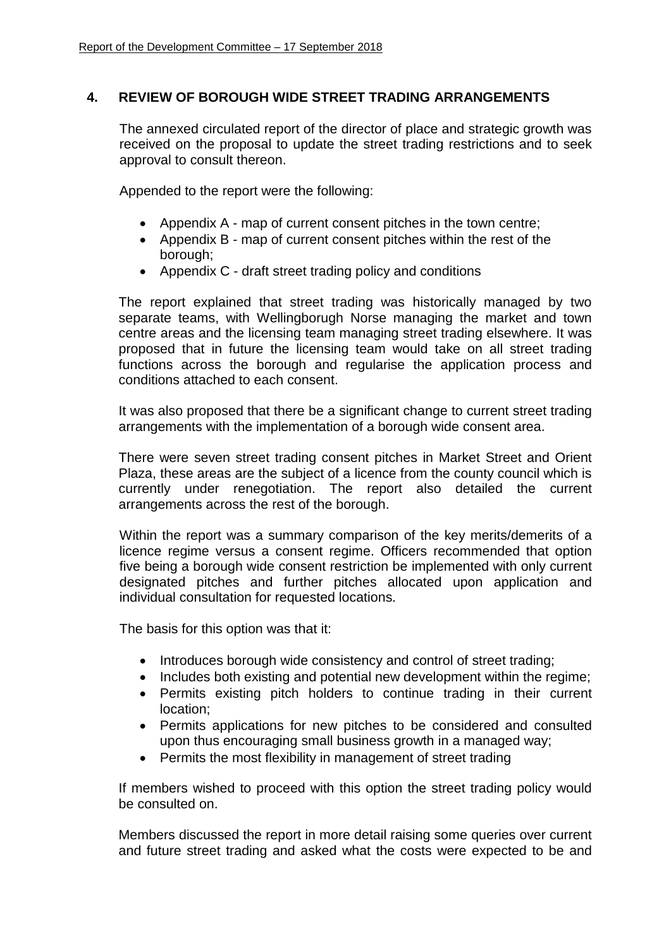## **4. REVIEW OF BOROUGH WIDE STREET TRADING ARRANGEMENTS**

The annexed circulated report of the director of place and strategic growth was received on the proposal to update the street trading restrictions and to seek approval to consult thereon.

Appended to the report were the following:

- Appendix A map of current consent pitches in the town centre;
- Appendix B map of current consent pitches within the rest of the borough;
- Appendix C draft street trading policy and conditions

The report explained that street trading was historically managed by two separate teams, with Wellingborugh Norse managing the market and town centre areas and the licensing team managing street trading elsewhere. It was proposed that in future the licensing team would take on all street trading functions across the borough and regularise the application process and conditions attached to each consent.

It was also proposed that there be a significant change to current street trading arrangements with the implementation of a borough wide consent area.

There were seven street trading consent pitches in Market Street and Orient Plaza, these areas are the subject of a licence from the county council which is currently under renegotiation. The report also detailed the current arrangements across the rest of the borough.

Within the report was a summary comparison of the key merits/demerits of a licence regime versus a consent regime. Officers recommended that option five being a borough wide consent restriction be implemented with only current designated pitches and further pitches allocated upon application and individual consultation for requested locations.

The basis for this option was that it:

- Introduces borough wide consistency and control of street trading;
- Includes both existing and potential new development within the regime;
- Permits existing pitch holders to continue trading in their current location;
- Permits applications for new pitches to be considered and consulted upon thus encouraging small business growth in a managed way;
- Permits the most flexibility in management of street trading

If members wished to proceed with this option the street trading policy would be consulted on.

Members discussed the report in more detail raising some queries over current and future street trading and asked what the costs were expected to be and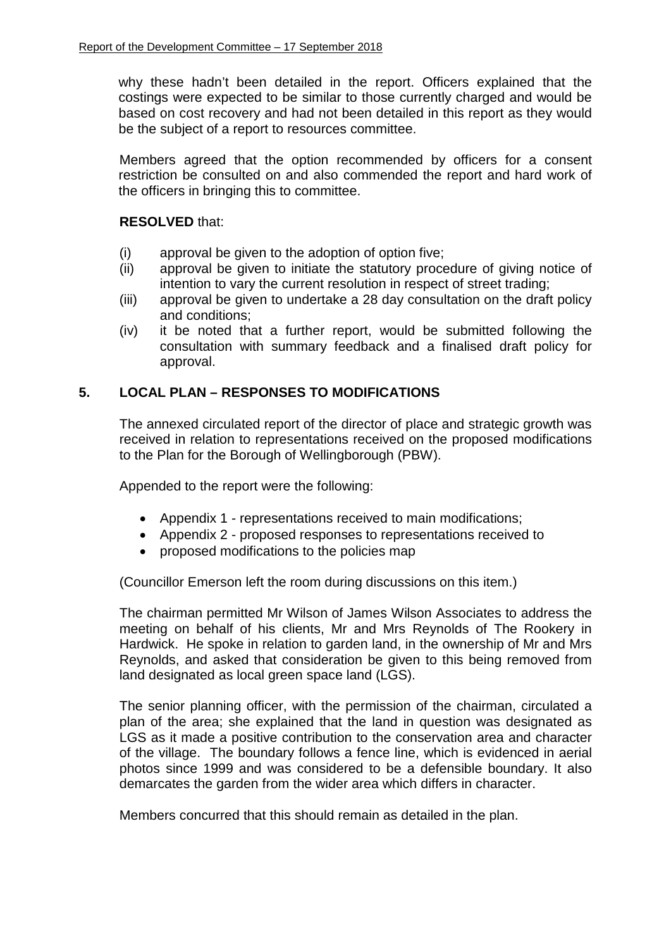why these hadn't been detailed in the report. Officers explained that the costings were expected to be similar to those currently charged and would be based on cost recovery and had not been detailed in this report as they would be the subject of a report to resources committee.

Members agreed that the option recommended by officers for a consent restriction be consulted on and also commended the report and hard work of the officers in bringing this to committee.

### **RESOLVED** that:

- (i) approval be given to the adoption of option five;
- (ii) approval be given to initiate the statutory procedure of giving notice of intention to vary the current resolution in respect of street trading;
- (iii) approval be given to undertake a 28 day consultation on the draft policy and conditions;
- (iv) it be noted that a further report, would be submitted following the consultation with summary feedback and a finalised draft policy for approval.

### **5. LOCAL PLAN – RESPONSES TO MODIFICATIONS**

The annexed circulated report of the director of place and strategic growth was received in relation to representations received on the proposed modifications to the Plan for the Borough of Wellingborough (PBW).

Appended to the report were the following:

- Appendix 1 representations received to main modifications;
- Appendix 2 proposed responses to representations received to
- proposed modifications to the policies map

(Councillor Emerson left the room during discussions on this item.)

The chairman permitted Mr Wilson of James Wilson Associates to address the meeting on behalf of his clients, Mr and Mrs Reynolds of The Rookery in Hardwick. He spoke in relation to garden land, in the ownership of Mr and Mrs Reynolds, and asked that consideration be given to this being removed from land designated as local green space land (LGS).

The senior planning officer, with the permission of the chairman, circulated a plan of the area; she explained that the land in question was designated as LGS as it made a positive contribution to the conservation area and character of the village. The boundary follows a fence line, which is evidenced in aerial photos since 1999 and was considered to be a defensible boundary. It also demarcates the garden from the wider area which differs in character.

Members concurred that this should remain as detailed in the plan.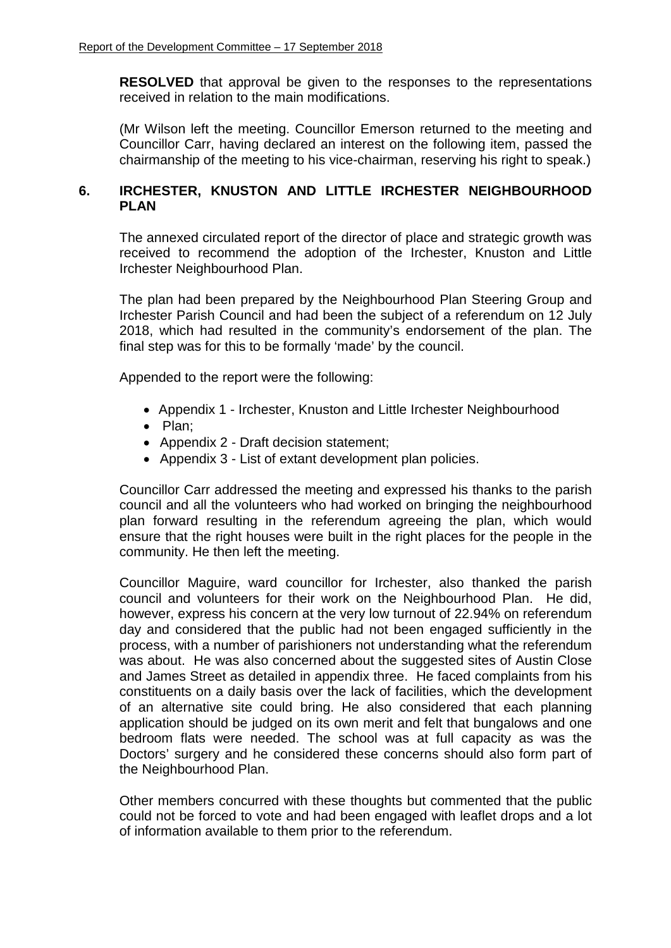**RESOLVED** that approval be given to the responses to the representations received in relation to the main modifications.

(Mr Wilson left the meeting. Councillor Emerson returned to the meeting and Councillor Carr, having declared an interest on the following item, passed the chairmanship of the meeting to his vice-chairman, reserving his right to speak.)

## **6. IRCHESTER, KNUSTON AND LITTLE IRCHESTER NEIGHBOURHOOD PLAN**

The annexed circulated report of the director of place and strategic growth was received to recommend the adoption of the Irchester, Knuston and Little Irchester Neighbourhood Plan.

The plan had been prepared by the Neighbourhood Plan Steering Group and Irchester Parish Council and had been the subject of a referendum on 12 July 2018, which had resulted in the community's endorsement of the plan. The final step was for this to be formally 'made' by the council.

Appended to the report were the following:

- Appendix 1 Irchester, Knuston and Little Irchester Neighbourhood
- Plan;
- Appendix 2 Draft decision statement;
- Appendix 3 List of extant development plan policies.

Councillor Carr addressed the meeting and expressed his thanks to the parish council and all the volunteers who had worked on bringing the neighbourhood plan forward resulting in the referendum agreeing the plan, which would ensure that the right houses were built in the right places for the people in the community. He then left the meeting.

Councillor Maguire, ward councillor for Irchester, also thanked the parish council and volunteers for their work on the Neighbourhood Plan. He did, however, express his concern at the very low turnout of 22.94% on referendum day and considered that the public had not been engaged sufficiently in the process, with a number of parishioners not understanding what the referendum was about. He was also concerned about the suggested sites of Austin Close and James Street as detailed in appendix three. He faced complaints from his constituents on a daily basis over the lack of facilities, which the development of an alternative site could bring. He also considered that each planning application should be judged on its own merit and felt that bungalows and one bedroom flats were needed. The school was at full capacity as was the Doctors' surgery and he considered these concerns should also form part of the Neighbourhood Plan.

Other members concurred with these thoughts but commented that the public could not be forced to vote and had been engaged with leaflet drops and a lot of information available to them prior to the referendum.